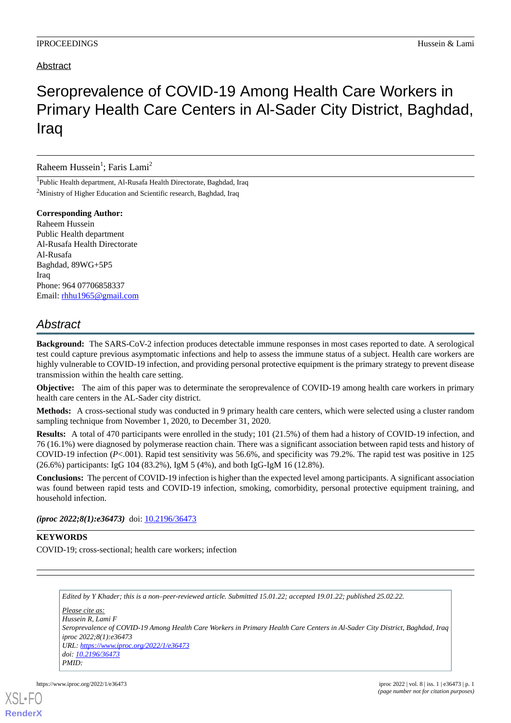### Abstract

# Seroprevalence of COVID-19 Among Health Care Workers in Primary Health Care Centers in Al-Sader City District, Baghdad, Iraq

Raheem Hussein<sup>1</sup>; Faris Lami<sup>2</sup>

1 Public Health department, Al-Rusafa Health Directorate, Baghdad, Iraq <sup>2</sup>Ministry of Higher Education and Scientific research, Baghdad, Iraq

**Corresponding Author:**

Raheem Hussein Public Health department Al-Rusafa Health Directorate Al-Rusafa Baghdad, 89WG+5P5 Iraq Phone: 964 07706858337 Email: [rhhu1965@gmail.com](mailto:rhhu1965@gmail.com)

## *Abstract*

**Background:** The SARS-CoV-2 infection produces detectable immune responses in most cases reported to date. A serological test could capture previous asymptomatic infections and help to assess the immune status of a subject. Health care workers are highly vulnerable to COVID-19 infection, and providing personal protective equipment is the primary strategy to prevent disease transmission within the health care setting.

**Objective:** The aim of this paper was to determinate the seroprevalence of COVID-19 among health care workers in primary health care centers in the AL-Sader city district.

**Methods:** A cross-sectional study was conducted in 9 primary health care centers, which were selected using a cluster random sampling technique from November 1, 2020, to December 31, 2020.

**Results:** A total of 470 participants were enrolled in the study; 101 (21.5%) of them had a history of COVID-19 infection, and 76 (16.1%) were diagnosed by polymerase reaction chain. There was a significant association between rapid tests and history of COVID-19 infection (*P*<.001). Rapid test sensitivity was 56.6%, and specificity was 79.2%. The rapid test was positive in 125 (26.6%) participants: IgG 104 (83.2%), IgM 5 (4%), and both IgG-IgM 16 (12.8%).

**Conclusions:** The percent of COVID-19 infection is higher than the expected level among participants. A significant association was found between rapid tests and COVID-19 infection, smoking, comorbidity, personal protective equipment training, and household infection.

*(iproc 2022;8(1):e36473)* doi: <u>[10.2196/36473](http://dx.doi.org/10.2196/36473)</u>

#### **KEYWORDS**

COVID-19; cross-sectional; health care workers; infection

*Edited by Y Khader; this is a non–peer-reviewed article. Submitted 15.01.22; accepted 19.01.22; published 25.02.22.*

*Please cite as: Hussein R, Lami F Seroprevalence of COVID-19 Among Health Care Workers in Primary Health Care Centers in Al-Sader City District, Baghdad, Iraq iproc 2022;8(1):e36473 URL: <https://www.iproc.org/2022/1/e36473> doi: [10.2196/36473](http://dx.doi.org/10.2196/36473) PMID:*